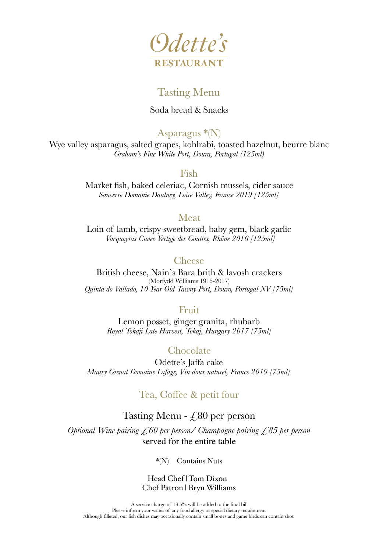

# Tasting Menu

### Soda bread & Snacks

## Asparagus \*(N)

Wye valley asparagus, salted grapes, kohlrabi, toasted hazelnut, beurre blanc *Graham's Fine White Port, Doura, Portugal (125ml)* 

#### Fish

Market fish, baked celeriac, Cornish mussels, cider sauce *Sancerre Domanie Daulney, Loire Valley, France 2019 [125ml]* 

### Meat

Loin of lamb, crispy sweetbread, baby gem, black garlic *Vacqueyras Cuvee Vertige des Gouttes, Rhône 2016 [125ml]*

## Cheese

British cheese, Nain`s Bara brith & lavosh crackers (Morfydd Williams 1915-2017) *Quinta do Vallado, 10 Year Old Tawny Port, Douro, Portugal NV [75ml]* 

### Fruit

Lemon posset, ginger granita, rhubarb *Royal Tokaji Late Harvest, Tokaj, Hungary 2017 [75ml]*

## Chocolate

Odette's Jaffa cake *Maury Grenat Domaine Lafage, Vin doux naturel, France 2019 [75ml]* 

## Tea, Coffee & petit four

# Tasting Menu -  $\angle$  80 per person

*Optional Wine pairing £60 per person/ Champagne pairing £85 per person*  served for the entire table

 $*(N)$  – Contains Nuts

#### Head Chef | Tom Dixon Chef Patron | Bryn Williams